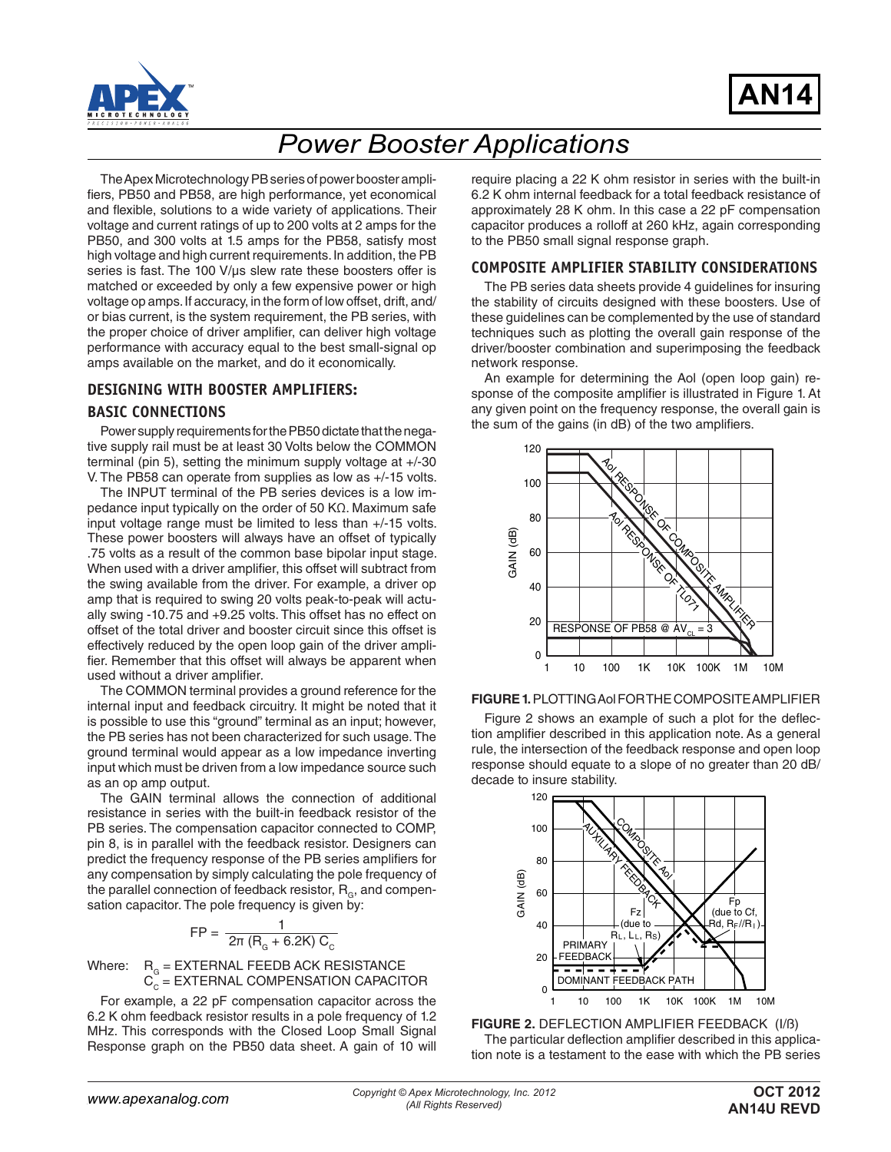



# *Power Booster Applications*

The Apex Microtechnology PB series of power booster amplifiers, PB50 and PB58, are high performance, yet economical and flexible, solutions to a wide variety of applications. Their voltage and current ratings of up to 200 volts at 2 amps for the PB50, and 300 volts at 1.5 amps for the PB58, satisfy most high voltage and high current requirements. In addition, the PB series is fast. The 100 V/µs slew rate these boosters offer is matched or exceeded by only a few expensive power or high voltage op amps. If accuracy, in the form of low offset, drift, and/ or bias current, is the system requirement, the PB series, with the proper choice of driver amplifier, can deliver high voltage performance with accuracy equal to the best small-signal op amps available on the market, and do it economically.

#### **DESIGNING WITH BOOSTER AMPLIFIERS:**

#### **BASIC CONNECTIONS**

Power supply requirements for the PB50 dictate that the negative supply rail must be at least 30 Volts below the COMMON terminal (pin 5), setting the minimum supply voltage at +/-30 V. The PB58 can operate from supplies as low as +/-15 volts.

The INPUT terminal of the PB series devices is a low impedance input typically on the order of 50 KΩ. Maximum safe input voltage range must be limited to less than +/-15 volts. These power boosters will always have an offset of typically .75 volts as a result of the common base bipolar input stage. When used with a driver amplifier, this offset will subtract from the swing available from the driver. For example, a driver op amp that is required to swing 20 volts peak-to-peak will actually swing -10.75 and +9.25 volts. This offset has no effect on offset of the total driver and booster circuit since this offset is effectively reduced by the open loop gain of the driver amplifier. Remember that this offset will always be apparent when used without a driver amplifier.

The COMMON terminal provides a ground reference for the internal input and feedback circuitry. It might be noted that it is possible to use this "ground" terminal as an input; however, the PB series has not been characterized for such usage. The ground terminal would appear as a low impedance inverting input which must be driven from a low impedance source such as an op amp output.

The GAIN terminal allows the connection of additional resistance in series with the built-in feedback resistor of the PB series. The compensation capacitor connected to COMP, pin 8, is in parallel with the feedback resistor. Designers can predict the frequency response of the PB series amplifiers for any compensation by simply calculating the pole frequency of the parallel connection of feedback resistor,  $R_{\alpha}$ , and compensation capacitor. The pole frequency is given by:

$$
FP = \frac{1}{2\pi (R_{\rm G} + 6.2 \text{K}) C_{\rm C}}
$$

Where:  $\,$   $\rm R_{\alpha}$  = EXTERNAL FEEDB ACK RESISTANCE  $\mathbf{C}_\mathrm{c}$  = EXTERNAL COMPENSATION CAPACITOR

For example, a 22 pF compensation capacitor across the 6.2 K ohm feedback resistor results in a pole frequency of 1.2 MHz. This corresponds with the Closed Loop Small Signal Response graph on the PB50 data sheet. A gain of 10 will require placing a 22 K ohm resistor in series with the built-in 6.2 K ohm internal feedback for a total feedback resistance of approximately 28 K ohm. In this case a 22 pF compensation capacitor produces a rolloff at 260 kHz, again corresponding to the PB50 small signal response graph.

#### **COMPOSITE AMPLIFIER STABILITY CONSIDERATIONS**

The PB series data sheets provide 4 guidelines for insuring the stability of circuits designed with these boosters. Use of these guidelines can be complemented by the use of standard techniques such as plotting the overall gain response of the driver/booster combination and superimposing the feedback network response.

An example for determining the Aol (open loop gain) response of the composite amplifier is illustrated in Figure 1. At any given point on the frequency response, the overall gain is the sum of the gains (in dB) of the two amplifiers.



#### **FIGURE 1.** PLOTTING Aol FOR THE COMPOSITE AMPLIFIER

Figure 2 shows an example of such a plot for the deflection amplifier described in this application note. As a general rule, the intersection of the feedback response and open loop response should equate to a slope of no greater than 20 dB/ decade to insure stability.



**FIGURE 2.** DEFLECTION AMPLIFIER FEEDBACK (I/ß) The particular deflection amplifier described in this application note is a testament to the ease with which the PB series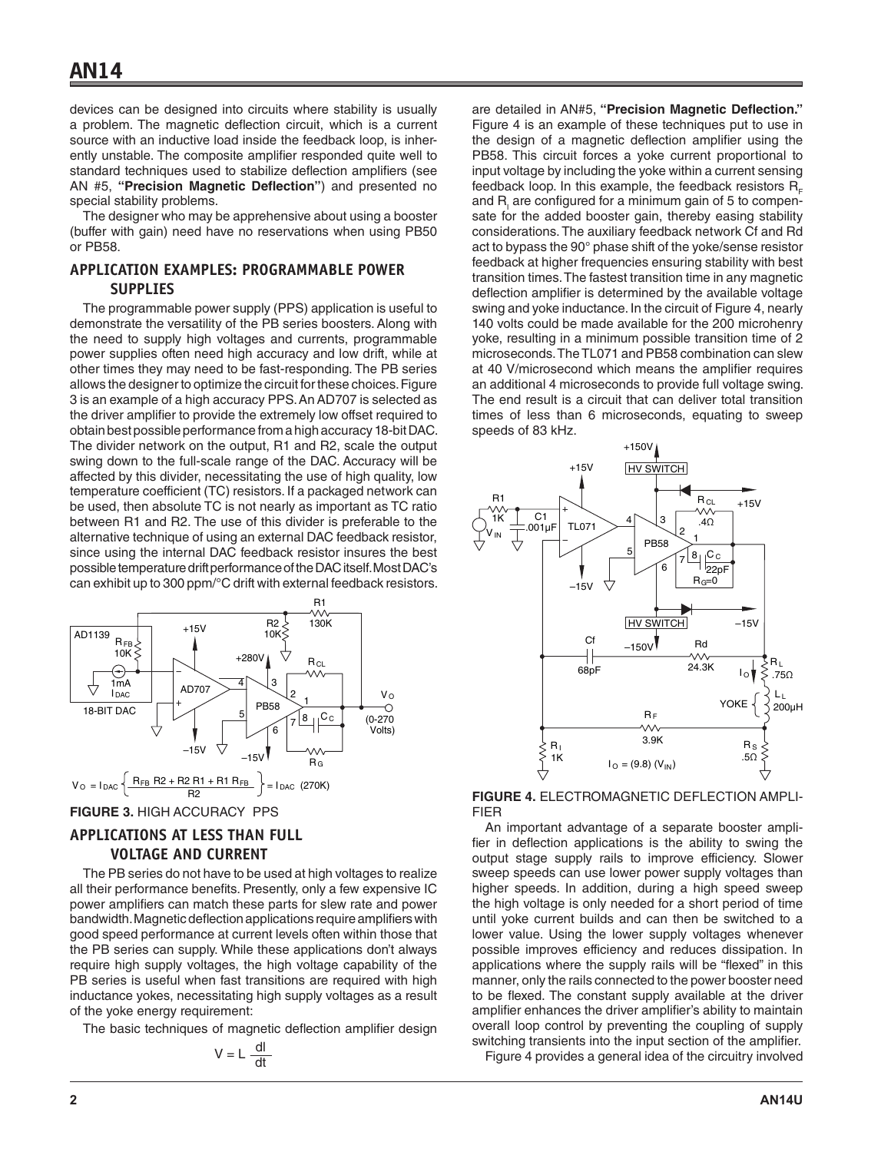devices can be designed into circuits where stability is usually a problem. The magnetic deflection circuit, which is a current source with an inductive load inside the feedback loop, is inherently unstable. The composite amplifier responded quite well to standard techniques used to stabilize deflection amplifiers (see AN #5, **"Precision Magnetic Deflection"**) and presented no special stability problems.

The designer who may be apprehensive about using a booster (buffer with gain) need have no reservations when using PB50 or PB58.

## **APPLICATION EXAMPLES: PROGRAMMABLE POWER SUPPLIES**

The programmable power supply (PPS) application is useful to demonstrate the versatility of the PB series boosters. Along with the need to supply high voltages and currents, programmable power supplies often need high accuracy and low drift, while at other times they may need to be fast-responding. The PB series allows the designer to optimize the circuit for these choices. Figure 3 is an example of a high accuracy PPS. An AD707 is selected as the driver amplifier to provide the extremely low offset required to obtain best possible performance from a high accuracy 18-bit DAC. The divider network on the output, R1 and R2, scale the output swing down to the full-scale range of the DAC. Accuracy will be affected by this divider, necessitating the use of high quality, low temperature coefficient (TC) resistors. If a packaged network can be used, then absolute TC is not nearly as important as TC ratio between R1 and R2. The use of this divider is preferable to the alternative technique of using an external DAC feedback resistor, since using the internal DAC feedback resistor insures the best possible temperature drift performance of the DAC itself. Most DAC's can exhibit up to 300 ppm/°C drift with external feedback resistors.



**FIGURE 3.** HIGH ACCURACY PPS

## **APPLICATIONS AT LESS THAN FULL VOLTAGE AND CURRENT**

The PB series do not have to be used at high voltages to realize all their performance benefits. Presently, only a few expensive IC power amplifiers can match these parts for slew rate and power bandwidth. Magnetic deflection applications require amplifiers with good speed performance at current levels often within those that the PB series can supply. While these applications don't always require high supply voltages, the high voltage capability of the PB series is useful when fast transitions are required with high inductance yokes, necessitating high supply voltages as a result of the yoke energy requirement:

The basic techniques of magnetic deflection amplifier design

$$
V = L \frac{dl}{dt}
$$

are detailed in AN#5, **"Precision Magnetic Deflection."** Figure 4 is an example of these techniques put to use in the design of a magnetic deflection amplifier using the PB58. This circuit forces a yoke current proportional to input voltage by including the yoke within a current sensing feedback loop. In this example, the feedback resistors  $R_{\rm c}$ and R<sub>I</sub> are configured for a minimum gain of 5 to compensate for the added booster gain, thereby easing stability considerations. The auxiliary feedback network Cf and Rd act to bypass the 90° phase shift of the yoke/sense resistor feedback at higher frequencies ensuring stability with best transition times. The fastest transition time in any magnetic deflection amplifier is determined by the available voltage swing and yoke inductance. In the circuit of Figure 4, nearly 140 volts could be made available for the 200 microhenry yoke, resulting in a minimum possible transition time of 2 microseconds. The TL071 and PB58 combination can slew at 40 V/microsecond which means the amplifier requires an additional 4 microseconds to provide full voltage swing. The end result is a circuit that can deliver total transition times of less than 6 microseconds, equating to sweep speeds of 83 kHz.



**FIGURE 4.** ELECTROMAGNETIC DEFLECTION AMPLI-FIER

An important advantage of a separate booster amplifier in deflection applications is the ability to swing the output stage supply rails to improve efficiency. Slower sweep speeds can use lower power supply voltages than higher speeds. In addition, during a high speed sweep the high voltage is only needed for a short period of time until yoke current builds and can then be switched to a lower value. Using the lower supply voltages whenever possible improves efficiency and reduces dissipation. In applications where the supply rails will be "flexed" in this manner, only the rails connected to the power booster need to be flexed. The constant supply available at the driver amplifier enhances the driver amplifier's ability to maintain overall loop control by preventing the coupling of supply switching transients into the input section of the amplifier. Figure 4 provides a general idea of the circuitry involved

**2 AN14U**